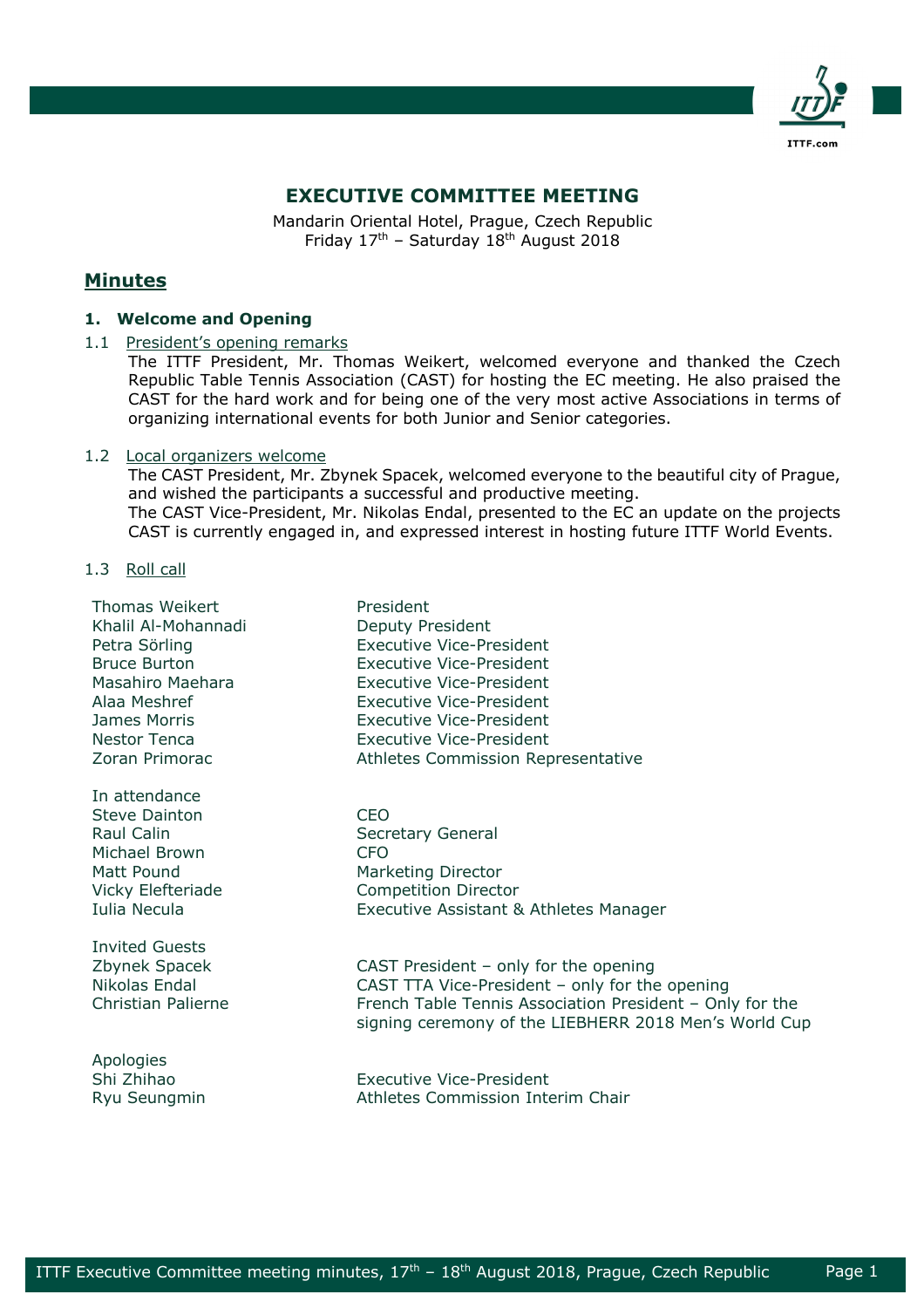

# **EXECUTIVE COMMITTEE MEETING**

Mandarin Oriental Hotel, Prague, Czech Republic Friday  $17<sup>th</sup>$  – Saturday  $18<sup>th</sup>$  August 2018

# **Minutes**

# **1. Welcome and Opening**

# 1.1 President's opening remarks

The ITTF President, Mr. Thomas Weikert, welcomed everyone and thanked the Czech Republic Table Tennis Association (CAST) for hosting the EC meeting. He also praised the CAST for the hard work and for being one of the very most active Associations in terms of organizing international events for both Junior and Senior categories.

# 1.2 Local organizers welcome

The CAST President, Mr. Zbynek Spacek, welcomed everyone to the beautiful city of Prague, and wished the participants a successful and productive meeting. The CAST Vice-President, Mr. Nikolas Endal, presented to the EC an update on the projects CAST is currently engaged in, and expressed interest in hosting future ITTF World Events.

1.3 Roll call

| <b>Thomas Weikert</b>                                                                                            | President                                                                                                                                           |
|------------------------------------------------------------------------------------------------------------------|-----------------------------------------------------------------------------------------------------------------------------------------------------|
| Khalil Al-Mohannadi                                                                                              | Deputy President                                                                                                                                    |
| Petra Sörling                                                                                                    | <b>Executive Vice-President</b>                                                                                                                     |
| <b>Bruce Burton</b>                                                                                              | <b>Executive Vice-President</b>                                                                                                                     |
| Masahiro Maehara                                                                                                 | Executive Vice-President                                                                                                                            |
| Alaa Meshref                                                                                                     | Executive Vice-President                                                                                                                            |
| James Morris                                                                                                     | <b>Executive Vice-President</b>                                                                                                                     |
| <b>Nestor Tenca</b>                                                                                              | <b>Executive Vice-President</b>                                                                                                                     |
| Zoran Primorac                                                                                                   | Athletes Commission Representative                                                                                                                  |
| In attendance<br>Steve Dainton<br>Raul Calin<br>Michael Brown<br>Matt Pound<br>Vicky Elefteriade<br>Iulia Necula | <b>CEO</b><br>Secretary General<br><b>CFO</b><br><b>Marketing Director</b><br><b>Competition Director</b><br>Executive Assistant & Athletes Manager |
| <b>Invited Guests</b>                                                                                            | CAST President $-$ only for the opening                                                                                                             |
| Zbynek Spacek                                                                                                    | CAST TTA Vice-President - only for the opening                                                                                                      |
| Nikolas Endal                                                                                                    | French Table Tennis Association President - Only for the                                                                                            |
| Christian Palierne                                                                                               | signing ceremony of the LIEBHERR 2018 Men's World Cup                                                                                               |
| Apologies<br>Shi Zhihao<br>Rvu Seunamin                                                                          | <b>Executive Vice-President</b><br>Athletes Commission Interim Chair                                                                                |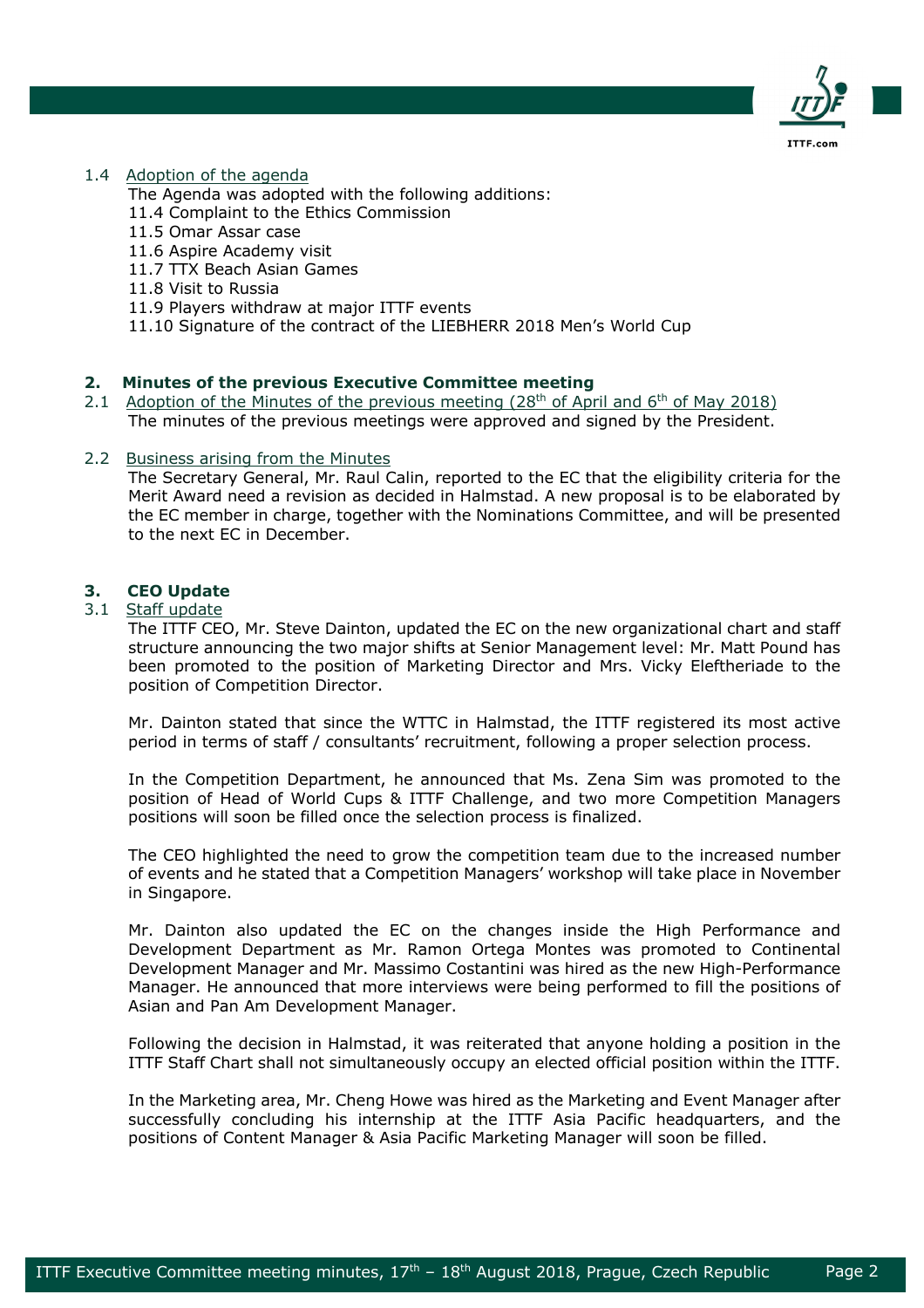

# 1.4 Adoption of the agenda

The Agenda was adopted with the following additions:

- 11.4 Complaint to the Ethics Commission
- 11.5 Omar Assar case
- 11.6 Aspire Academy visit
- 11.7 TTX Beach Asian Games
- 11.8 Visit to Russia
- 11.9 Players withdraw at major ITTF events
- 11.10 Signature of the contract of the LIEBHERR 2018 Men's World Cup

# **2. Minutes of the previous Executive Committee meeting**

2.1 Adoption of the Minutes of the previous meeting  $(28<sup>th</sup>$  of April and  $6<sup>th</sup>$  of May 2018) The minutes of the previous meetings were approved and signed by the President.

### 2.2 Business arising from the Minutes

The Secretary General, Mr. Raul Calin, reported to the EC that the eligibility criteria for the Merit Award need a revision as decided in Halmstad. A new proposal is to be elaborated by the EC member in charge, together with the Nominations Committee, and will be presented to the next EC in December.

# **3. CEO Update**

# 3.1 Staff update

The ITTF CEO, Mr. Steve Dainton, updated the EC on the new organizational chart and staff structure announcing the two major shifts at Senior Management level: Mr. Matt Pound has been promoted to the position of Marketing Director and Mrs. Vicky Eleftheriade to the position of Competition Director.

Mr. Dainton stated that since the WTTC in Halmstad, the ITTF registered its most active period in terms of staff / consultants' recruitment, following a proper selection process.

In the Competition Department, he announced that Ms. Zena Sim was promoted to the position of Head of World Cups & ITTF Challenge, and two more Competition Managers positions will soon be filled once the selection process is finalized.

The CEO highlighted the need to grow the competition team due to the increased number of events and he stated that a Competition Managers' workshop will take place in November in Singapore.

Mr. Dainton also updated the EC on the changes inside the High Performance and Development Department as Mr. Ramon Ortega Montes was promoted to Continental Development Manager and Mr. Massimo Costantini was hired as the new High-Performance Manager. He announced that more interviews were being performed to fill the positions of Asian and Pan Am Development Manager.

Following the decision in Halmstad, it was reiterated that anyone holding a position in the ITTF Staff Chart shall not simultaneously occupy an elected official position within the ITTF.

In the Marketing area, Mr. Cheng Howe was hired as the Marketing and Event Manager after successfully concluding his internship at the ITTF Asia Pacific headquarters, and the positions of Content Manager & Asia Pacific Marketing Manager will soon be filled.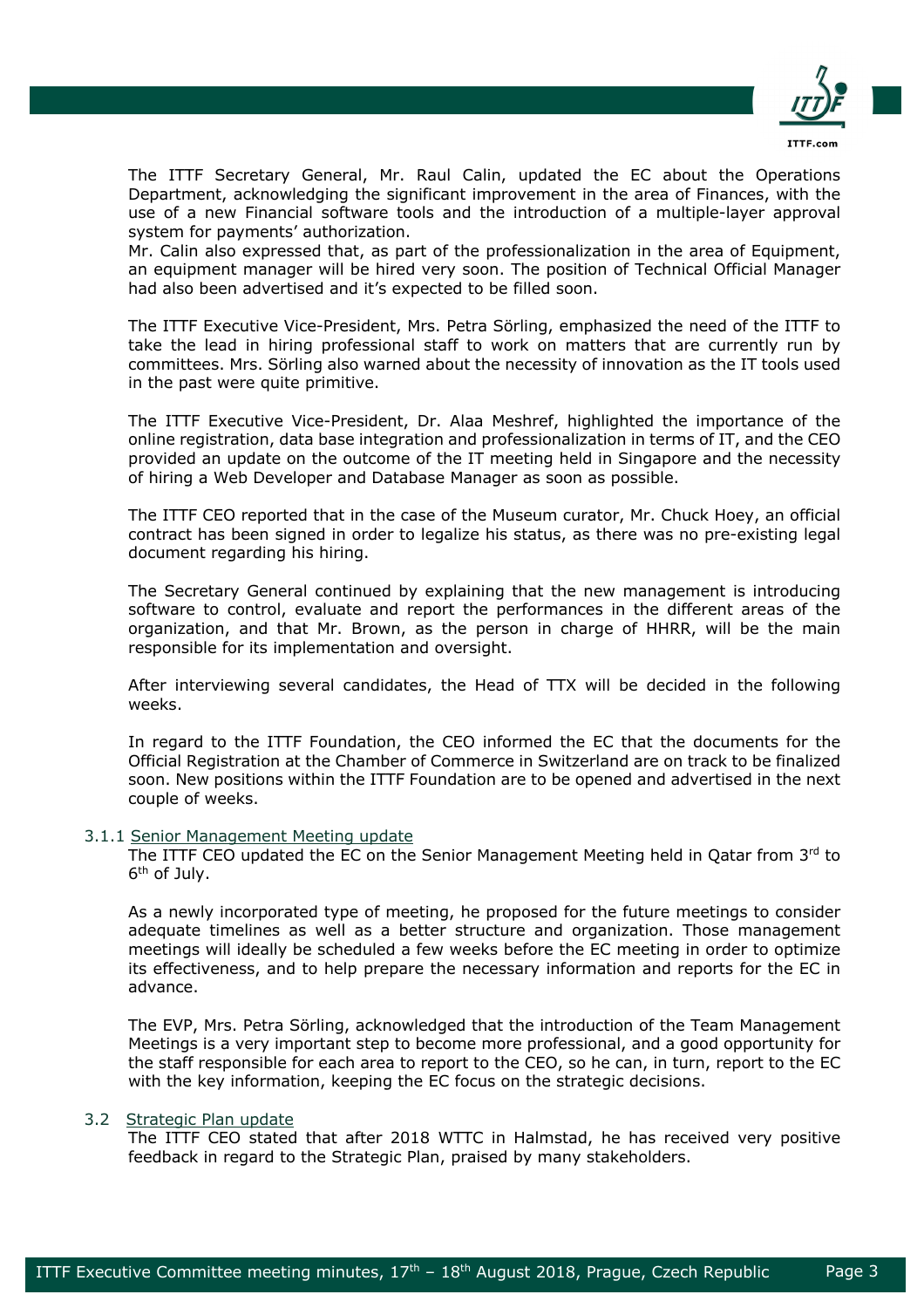

The ITTF Secretary General, Mr. Raul Calin, updated the EC about the Operations Department, acknowledging the significant improvement in the area of Finances, with the use of a new Financial software tools and the introduction of a multiple-layer approval system for payments' authorization.

Mr. Calin also expressed that, as part of the professionalization in the area of Equipment, an equipment manager will be hired very soon. The position of Technical Official Manager had also been advertised and it's expected to be filled soon.

The ITTF Executive Vice-President, Mrs. Petra Sörling, emphasized the need of the ITTF to take the lead in hiring professional staff to work on matters that are currently run by committees. Mrs. Sörling also warned about the necessity of innovation as the IT tools used in the past were quite primitive.

The ITTF Executive Vice-President, Dr. Alaa Meshref, highlighted the importance of the online registration, data base integration and professionalization in terms of IT, and the CEO provided an update on the outcome of the IT meeting held in Singapore and the necessity of hiring a Web Developer and Database Manager as soon as possible.

The ITTF CEO reported that in the case of the Museum curator, Mr. Chuck Hoey, an official contract has been signed in order to legalize his status, as there was no pre-existing legal document regarding his hiring.

The Secretary General continued by explaining that the new management is introducing software to control, evaluate and report the performances in the different areas of the organization, and that Mr. Brown, as the person in charge of HHRR, will be the main responsible for its implementation and oversight.

After interviewing several candidates, the Head of TTX will be decided in the following weeks.

In regard to the ITTF Foundation, the CEO informed the EC that the documents for the Official Registration at the Chamber of Commerce in Switzerland are on track to be finalized soon. New positions within the ITTF Foundation are to be opened and advertised in the next couple of weeks.

### 3.1.1 Senior Management Meeting update

The ITTF CEO updated the EC on the Senior Management Meeting held in Qatar from  $3<sup>rd</sup>$  to 6th of July.

As a newly incorporated type of meeting, he proposed for the future meetings to consider adequate timelines as well as a better structure and organization. Those management meetings will ideally be scheduled a few weeks before the EC meeting in order to optimize its effectiveness, and to help prepare the necessary information and reports for the EC in advance.

The EVP, Mrs. Petra Sörling, acknowledged that the introduction of the Team Management Meetings is a very important step to become more professional, and a good opportunity for the staff responsible for each area to report to the CEO, so he can, in turn, report to the EC with the key information, keeping the EC focus on the strategic decisions.

# 3.2 Strategic Plan update

The ITTF CEO stated that after 2018 WTTC in Halmstad, he has received very positive feedback in regard to the Strategic Plan, praised by many stakeholders.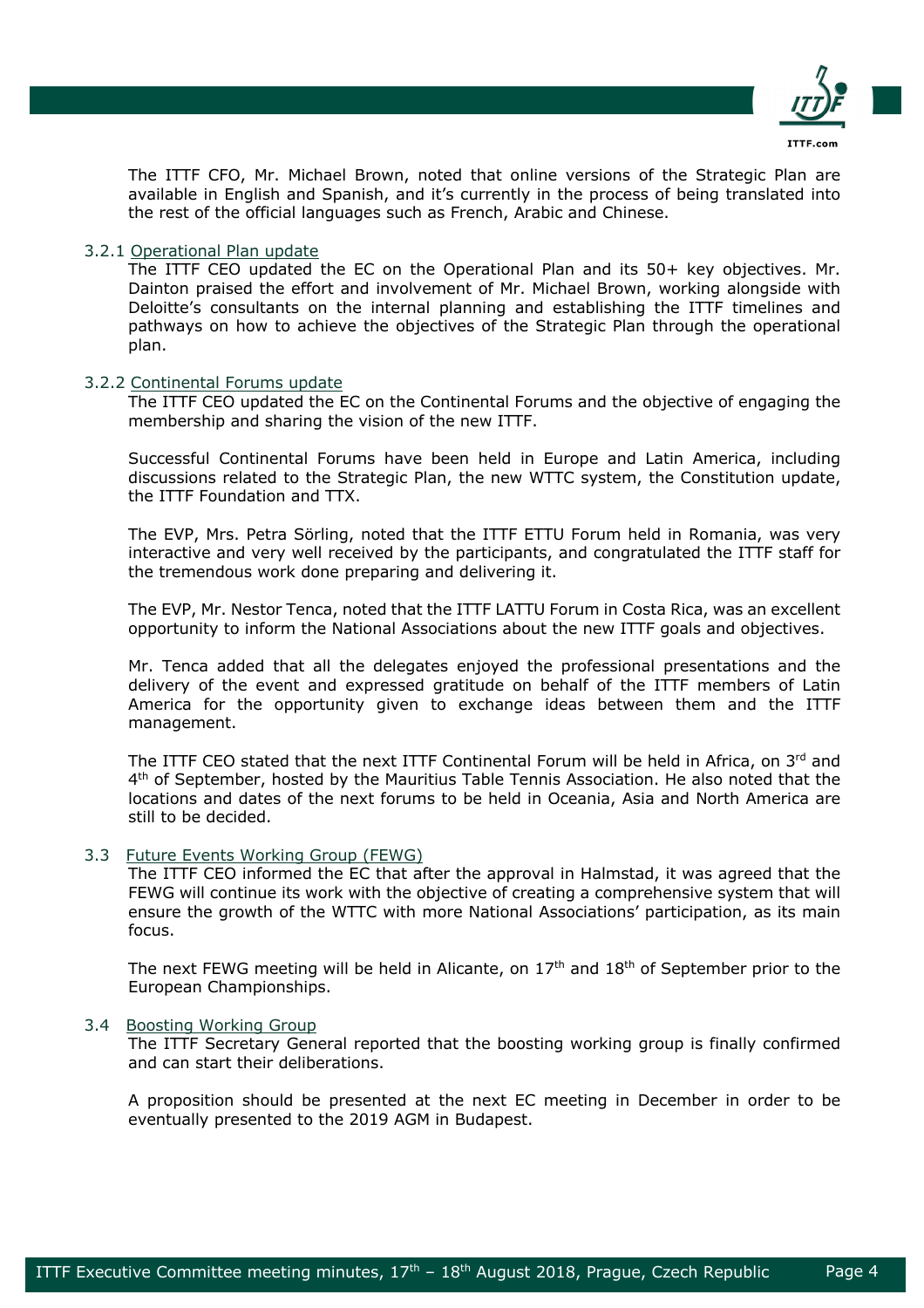

The ITTF CFO, Mr. Michael Brown, noted that online versions of the Strategic Plan are available in English and Spanish, and it's currently in the process of being translated into the rest of the official languages such as French, Arabic and Chinese.

# 3.2.1 Operational Plan update

The ITTF CEO updated the EC on the Operational Plan and its 50+ key objectives. Mr. Dainton praised the effort and involvement of Mr. Michael Brown, working alongside with Deloitte's consultants on the internal planning and establishing the ITTF timelines and pathways on how to achieve the objectives of the Strategic Plan through the operational plan.

### 3.2.2 Continental Forums update

The ITTF CEO updated the EC on the Continental Forums and the objective of engaging the membership and sharing the vision of the new ITTF.

Successful Continental Forums have been held in Europe and Latin America, including discussions related to the Strategic Plan, the new WTTC system, the Constitution update, the ITTF Foundation and TTX.

The EVP, Mrs. Petra Sörling, noted that the ITTF ETTU Forum held in Romania, was very interactive and very well received by the participants, and congratulated the ITTF staff for the tremendous work done preparing and delivering it.

The EVP, Mr. Nestor Tenca, noted that the ITTF LATTU Forum in Costa Rica, was an excellent opportunity to inform the National Associations about the new ITTF goals and objectives.

Mr. Tenca added that all the delegates enjoyed the professional presentations and the delivery of the event and expressed gratitude on behalf of the ITTF members of Latin America for the opportunity given to exchange ideas between them and the ITTF management.

The ITTF CEO stated that the next ITTF Continental Forum will be held in Africa, on 3rd and 4th of September, hosted by the Mauritius Table Tennis Association. He also noted that the locations and dates of the next forums to be held in Oceania, Asia and North America are still to be decided.

### 3.3 Future Events Working Group (FEWG)

The ITTF CEO informed the EC that after the approval in Halmstad, it was agreed that the FEWG will continue its work with the objective of creating a comprehensive system that will ensure the growth of the WTTC with more National Associations' participation, as its main focus.

The next FEWG meeting will be held in Alicante, on  $17<sup>th</sup>$  and  $18<sup>th</sup>$  of September prior to the European Championships.

### 3.4 Boosting Working Group

The ITTF Secretary General reported that the boosting working group is finally confirmed and can start their deliberations.

A proposition should be presented at the next EC meeting in December in order to be eventually presented to the 2019 AGM in Budapest.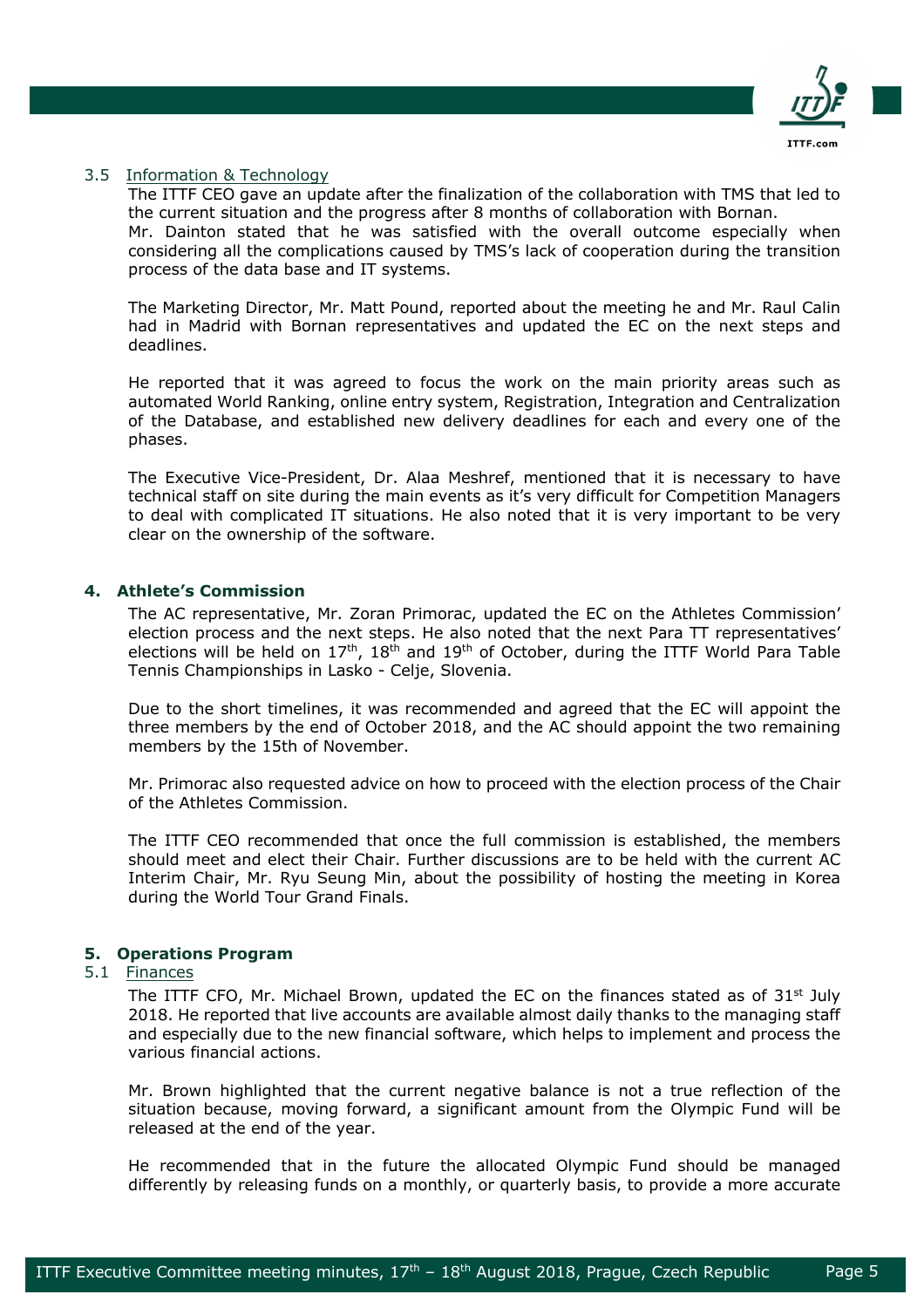

### 3.5 Information & Technology

The ITTF CEO gave an update after the finalization of the collaboration with TMS that led to the current situation and the progress after 8 months of collaboration with Bornan.

Mr. Dainton stated that he was satisfied with the overall outcome especially when considering all the complications caused by TMS's lack of cooperation during the transition process of the data base and IT systems.

The Marketing Director, Mr. Matt Pound, reported about the meeting he and Mr. Raul Calin had in Madrid with Bornan representatives and updated the EC on the next steps and deadlines.

He reported that it was agreed to focus the work on the main priority areas such as automated World Ranking, online entry system, Registration, Integration and Centralization of the Database, and established new delivery deadlines for each and every one of the phases.

The Executive Vice-President, Dr. Alaa Meshref, mentioned that it is necessary to have technical staff on site during the main events as it's very difficult for Competition Managers to deal with complicated IT situations. He also noted that it is very important to be very clear on the ownership of the software.

# **4. Athlete's Commission**

The AC representative, Mr. Zoran Primorac, updated the EC on the Athletes Commission' election process and the next steps. He also noted that the next Para TT representatives' elections will be held on  $17<sup>th</sup>$ ,  $18<sup>th</sup>$  and  $19<sup>th</sup>$  of October, during the ITTF World Para Table Tennis Championships in Lasko - Celje, Slovenia.

Due to the short timelines, it was recommended and agreed that the EC will appoint the three members by the end of October 2018, and the AC should appoint the two remaining members by the 15th of November.

Mr. Primorac also requested advice on how to proceed with the election process of the Chair of the Athletes Commission.

The ITTF CEO recommended that once the full commission is established, the members should meet and elect their Chair. Further discussions are to be held with the current AC Interim Chair, Mr. Ryu Seung Min, about the possibility of hosting the meeting in Korea during the World Tour Grand Finals.

### **5. Operations Program**

# 5.1 Finances

The ITTF CFO, Mr. Michael Brown, updated the EC on the finances stated as of  $31<sup>st</sup>$  July 2018. He reported that live accounts are available almost daily thanks to the managing staff and especially due to the new financial software, which helps to implement and process the various financial actions.

Mr. Brown highlighted that the current negative balance is not a true reflection of the situation because, moving forward, a significant amount from the Olympic Fund will be released at the end of the year.

He recommended that in the future the allocated Olympic Fund should be managed differently by releasing funds on a monthly, or quarterly basis, to provide a more accurate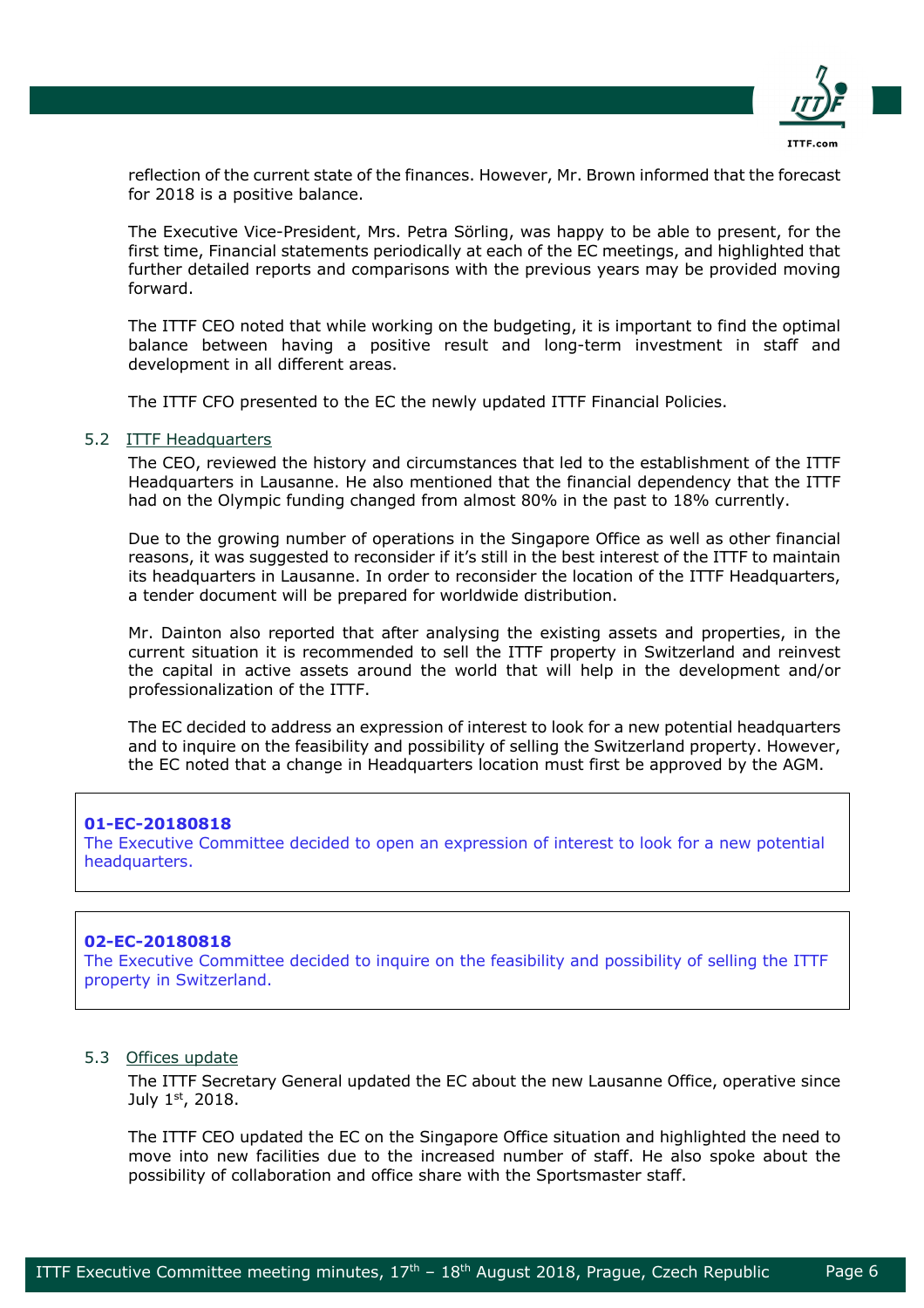

reflection of the current state of the finances. However, Mr. Brown informed that the forecast for 2018 is a positive balance.

The Executive Vice-President, Mrs. Petra Sörling, was happy to be able to present, for the first time, Financial statements periodically at each of the EC meetings, and highlighted that further detailed reports and comparisons with the previous years may be provided moving forward.

The ITTF CEO noted that while working on the budgeting, it is important to find the optimal balance between having a positive result and long-term investment in staff and development in all different areas.

The ITTF CFO presented to the EC the newly updated ITTF Financial Policies.

#### 5.2 ITTF Headquarters

The CEO, reviewed the history and circumstances that led to the establishment of the ITTF Headquarters in Lausanne. He also mentioned that the financial dependency that the ITTF had on the Olympic funding changed from almost 80% in the past to 18% currently.

Due to the growing number of operations in the Singapore Office as well as other financial reasons, it was suggested to reconsider if it's still in the best interest of the ITTF to maintain its headquarters in Lausanne. In order to reconsider the location of the ITTF Headquarters, a tender document will be prepared for worldwide distribution.

Mr. Dainton also reported that after analysing the existing assets and properties, in the current situation it is recommended to sell the ITTF property in Switzerland and reinvest the capital in active assets around the world that will help in the development and/or professionalization of the ITTF.

The EC decided to address an expression of interest to look for a new potential headquarters and to inquire on the feasibility and possibility of selling the Switzerland property. However, the EC noted that a change in Headquarters location must first be approved by the AGM.

### **01-EC-20180818**

The Executive Committee decided to open an expression of interest to look for a new potential headquarters.

### **02-EC-20180818**

The Executive Committee decided to inquire on the feasibility and possibility of selling the ITTF property in Switzerland.

#### 5.3 Offices update

The ITTF Secretary General updated the EC about the new Lausanne Office, operative since July 1st, 2018.

The ITTF CEO updated the EC on the Singapore Office situation and highlighted the need to move into new facilities due to the increased number of staff. He also spoke about the possibility of collaboration and office share with the Sportsmaster staff.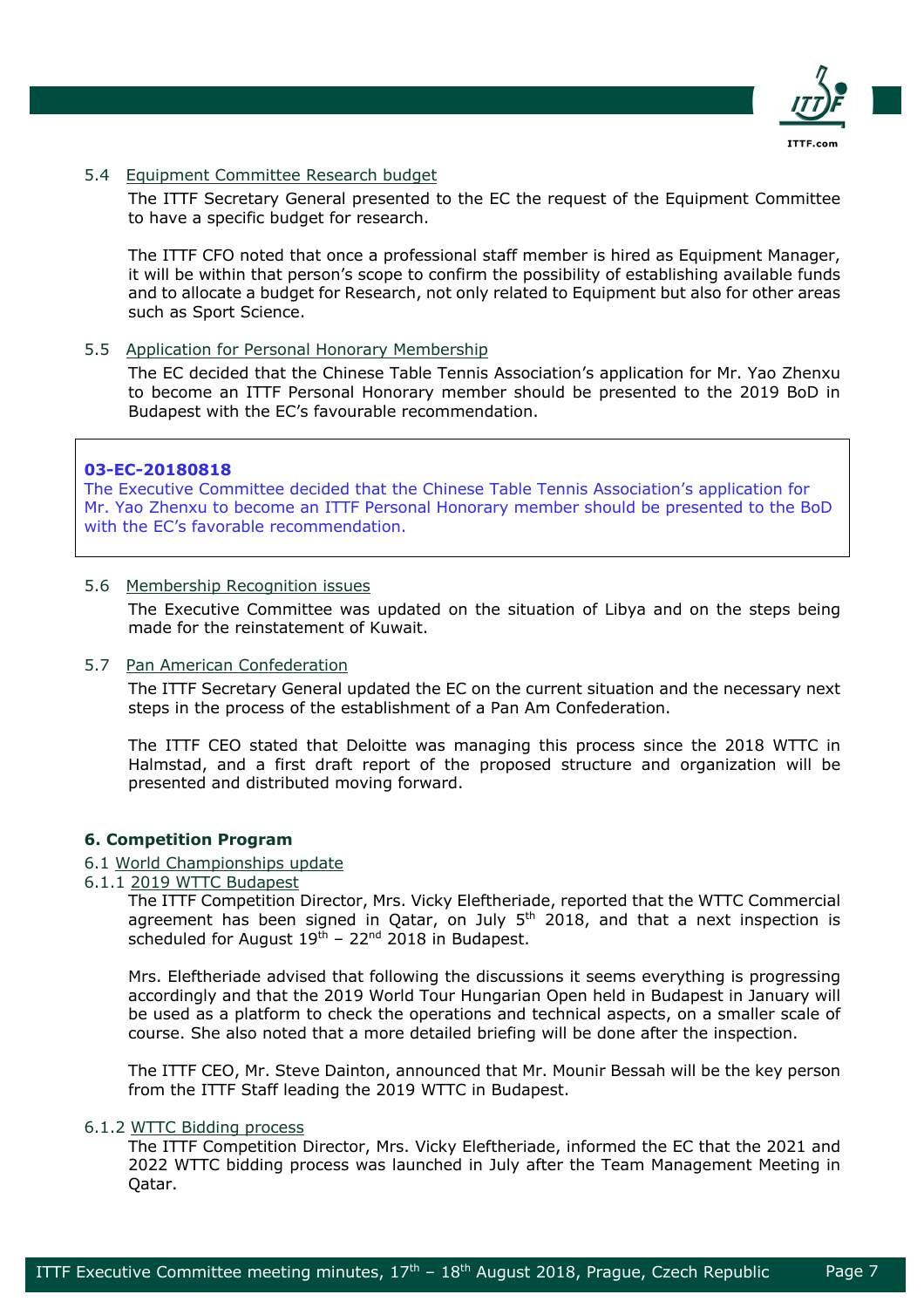

# 5.4 Equipment Committee Research budget

The ITTF Secretary General presented to the EC the request of the Equipment Committee to have a specific budget for research.

The ITTF CFO noted that once a professional staff member is hired as Equipment Manager, it will be within that person's scope to confirm the possibility of establishing available funds and to allocate a budget for Research, not only related to Equipment but also for other areas such as Sport Science.

# 5.5 Application for Personal Honorary Membership

The EC decided that the Chinese Table Tennis Association's application for Mr. Yao Zhenxu to become an ITTF Personal Honorary member should be presented to the 2019 BoD in Budapest with the EC's favourable recommendation.

# **03-EC-20180818**

The Executive Committee decided that the Chinese Table Tennis Association's application for Mr. Yao Zhenxu to become an ITTF Personal Honorary member should be presented to the BoD with the EC's favorable recommendation.

# 5.6 Membership Recognition issues

The Executive Committee was updated on the situation of Libya and on the steps being made for the reinstatement of Kuwait.

### 5.7 Pan American Confederation

The ITTF Secretary General updated the EC on the current situation and the necessary next steps in the process of the establishment of a Pan Am Confederation.

The ITTF CEO stated that Deloitte was managing this process since the 2018 WTTC in Halmstad, and a first draft report of the proposed structure and organization will be presented and distributed moving forward.

# **6. Competition Program**

### 6.1 World Championships update

6.1.1 2019 WTTC Budapest

The ITTF Competition Director, Mrs. Vicky Eleftheriade, reported that the WTTC Commercial agreement has been signed in Qatar, on July  $5<sup>th</sup>$  2018, and that a next inspection is scheduled for August  $19<sup>th</sup>$  – 22<sup>nd</sup> 2018 in Budapest.

Mrs. Eleftheriade advised that following the discussions it seems everything is progressing accordingly and that the 2019 World Tour Hungarian Open held in Budapest in January will be used as a platform to check the operations and technical aspects, on a smaller scale of course. She also noted that a more detailed briefing will be done after the inspection.

The ITTF CEO, Mr. Steve Dainton, announced that Mr. Mounir Bessah will be the key person from the ITTF Staff leading the 2019 WTTC in Budapest.

### 6.1.2 WTTC Bidding process

The ITTF Competition Director, Mrs. Vicky Eleftheriade, informed the EC that the 2021 and 2022 WTTC bidding process was launched in July after the Team Management Meeting in Qatar.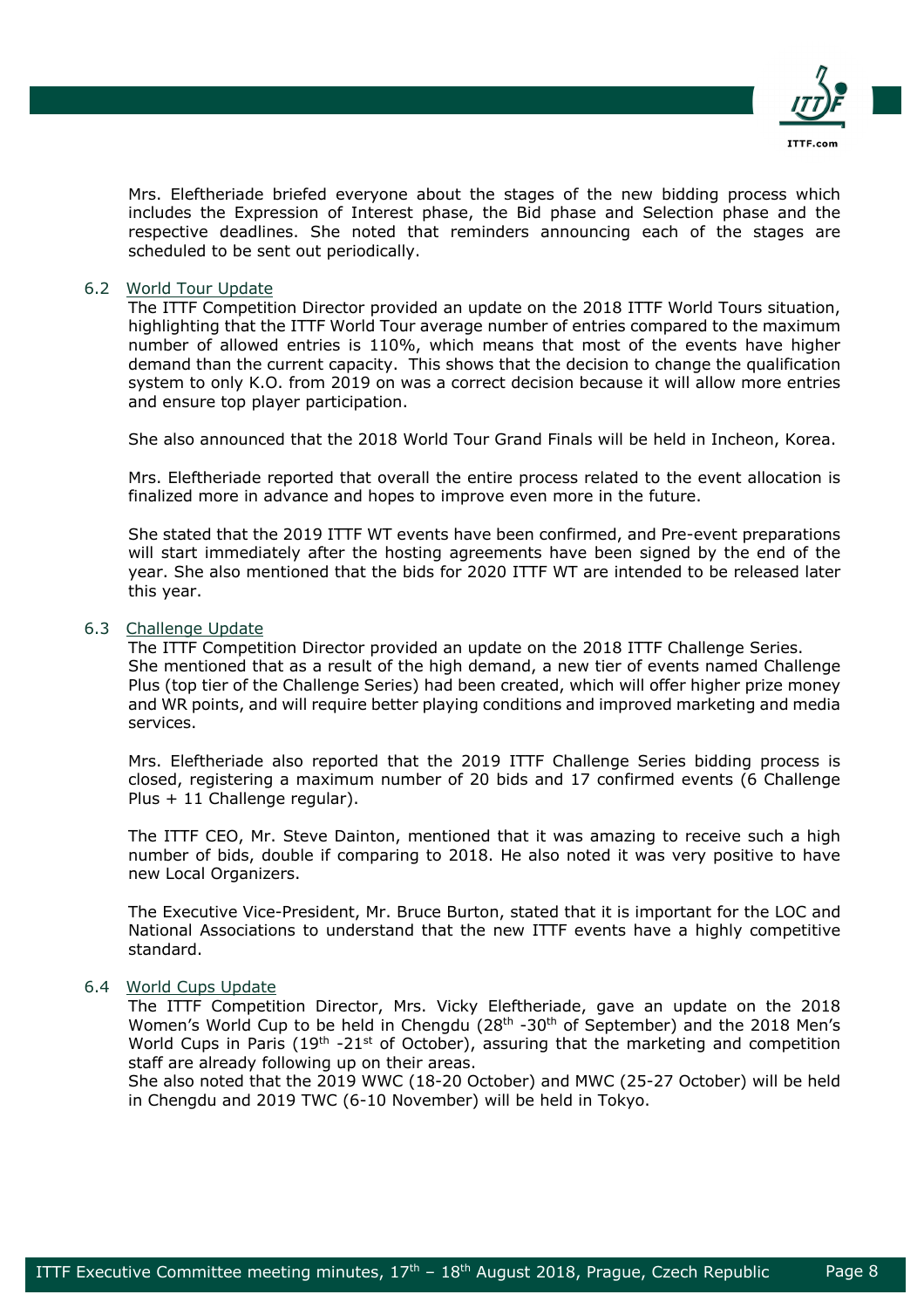

Mrs. Eleftheriade briefed everyone about the stages of the new bidding process which includes the Expression of Interest phase, the Bid phase and Selection phase and the respective deadlines. She noted that reminders announcing each of the stages are scheduled to be sent out periodically.

# 6.2 World Tour Update

The ITTF Competition Director provided an update on the 2018 ITTF World Tours situation, highlighting that the ITTF World Tour average number of entries compared to the maximum number of allowed entries is 110%, which means that most of the events have higher demand than the current capacity. This shows that the decision to change the qualification system to only K.O. from 2019 on was a correct decision because it will allow more entries and ensure top player participation.

She also announced that the 2018 World Tour Grand Finals will be held in Incheon, Korea.

Mrs. Eleftheriade reported that overall the entire process related to the event allocation is finalized more in advance and hopes to improve even more in the future.

She stated that the 2019 ITTF WT events have been confirmed, and Pre-event preparations will start immediately after the hosting agreements have been signed by the end of the year. She also mentioned that the bids for 2020 ITTF WT are intended to be released later this year.

# 6.3 Challenge Update

The ITTF Competition Director provided an update on the 2018 ITTF Challenge Series. She mentioned that as a result of the high demand, a new tier of events named Challenge Plus (top tier of the Challenge Series) had been created, which will offer higher prize money and WR points, and will require better playing conditions and improved marketing and media services.

Mrs. Eleftheriade also reported that the 2019 ITTF Challenge Series bidding process is closed, registering a maximum number of 20 bids and 17 confirmed events (6 Challenge Plus + 11 Challenge regular).

The ITTF CEO, Mr. Steve Dainton, mentioned that it was amazing to receive such a high number of bids, double if comparing to 2018. He also noted it was very positive to have new Local Organizers.

The Executive Vice-President, Mr. Bruce Burton, stated that it is important for the LOC and National Associations to understand that the new ITTF events have a highly competitive standard.

### 6.4 World Cups Update

The ITTF Competition Director, Mrs. Vicky Eleftheriade, gave an update on the 2018 Women's World Cup to be held in Chengdu (28<sup>th</sup> -30<sup>th</sup> of September) and the 2018 Men's World Cups in Paris (19<sup>th</sup> -21<sup>st</sup> of October), assuring that the marketing and competition staff are already following up on their areas.

She also noted that the 2019 WWC (18-20 October) and MWC (25-27 October) will be held in Chengdu and 2019 TWC (6-10 November) will be held in Tokyo.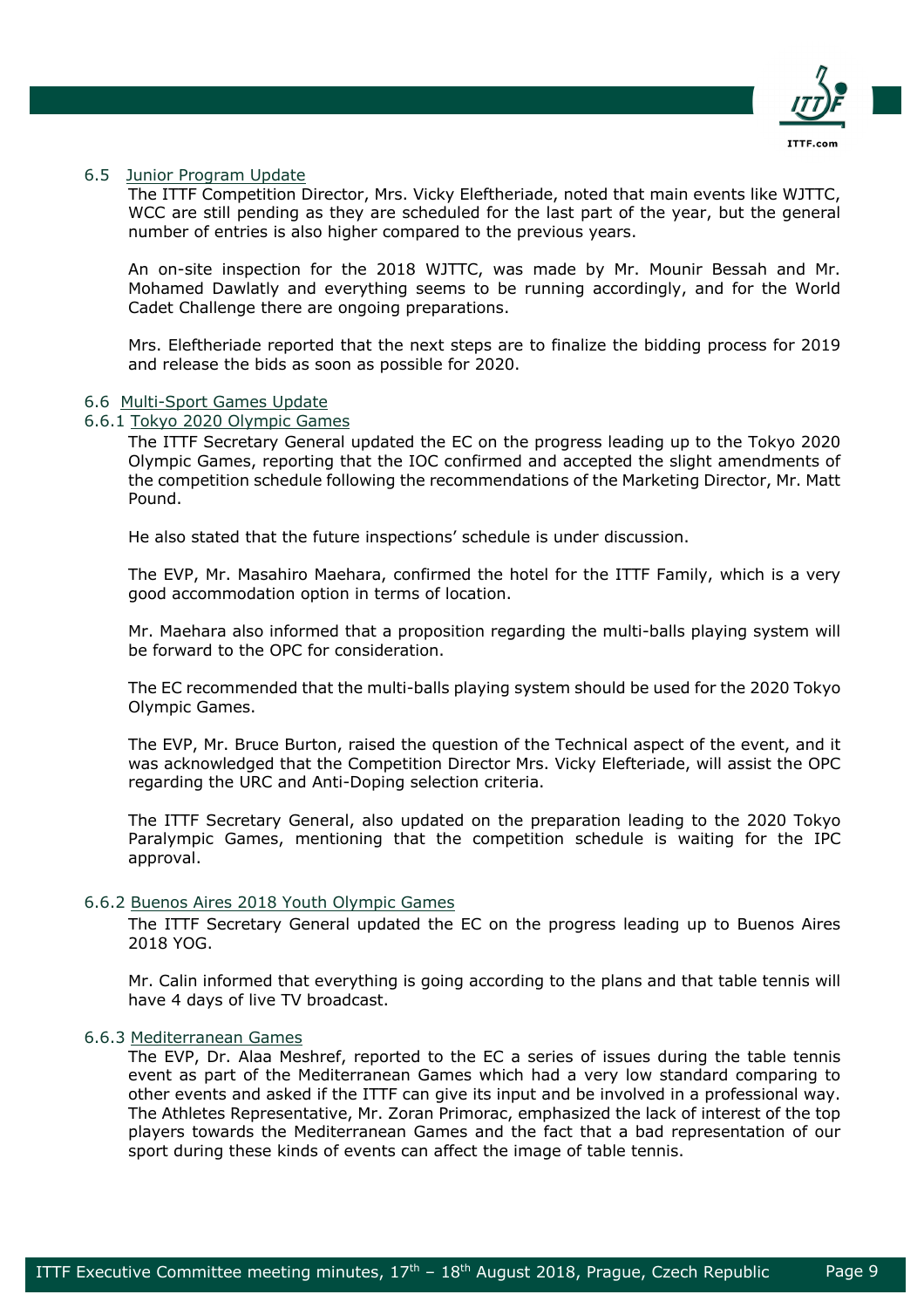

### 6.5 Junior Program Update

The ITTF Competition Director, Mrs. Vicky Eleftheriade, noted that main events like WJTTC, WCC are still pending as they are scheduled for the last part of the year, but the general number of entries is also higher compared to the previous years.

An on-site inspection for the 2018 WJTTC, was made by Mr. Mounir Bessah and Mr. Mohamed Dawlatly and everything seems to be running accordingly, and for the World Cadet Challenge there are ongoing preparations.

Mrs. Eleftheriade reported that the next steps are to finalize the bidding process for 2019 and release the bids as soon as possible for 2020.

### 6.6 Multi-Sport Games Update

# 6.6.1 Tokyo 2020 Olympic Games

The ITTF Secretary General updated the EC on the progress leading up to the Tokyo 2020 Olympic Games, reporting that the IOC confirmed and accepted the slight amendments of the competition schedule following the recommendations of the Marketing Director, Mr. Matt Pound.

He also stated that the future inspections' schedule is under discussion.

The EVP, Mr. Masahiro Maehara, confirmed the hotel for the ITTF Family, which is a very good accommodation option in terms of location.

Mr. Maehara also informed that a proposition regarding the multi-balls playing system will be forward to the OPC for consideration.

The EC recommended that the multi-balls playing system should be used for the 2020 Tokyo Olympic Games.

The EVP, Mr. Bruce Burton, raised the question of the Technical aspect of the event, and it was acknowledged that the Competition Director Mrs. Vicky Elefteriade, will assist the OPC regarding the URC and Anti-Doping selection criteria.

The ITTF Secretary General, also updated on the preparation leading to the 2020 Tokyo Paralympic Games, mentioning that the competition schedule is waiting for the IPC approval.

# 6.6.2 Buenos Aires 2018 Youth Olympic Games

The ITTF Secretary General updated the EC on the progress leading up to Buenos Aires 2018 YOG.

Mr. Calin informed that everything is going according to the plans and that table tennis will have 4 days of live TV broadcast.

# 6.6.3 Mediterranean Games

The EVP, Dr. Alaa Meshref, reported to the EC a series of issues during the table tennis event as part of the Mediterranean Games which had a very low standard comparing to other events and asked if the ITTF can give its input and be involved in a professional way. The Athletes Representative, Mr. Zoran Primorac, emphasized the lack of interest of the top players towards the Mediterranean Games and the fact that a bad representation of our sport during these kinds of events can affect the image of table tennis.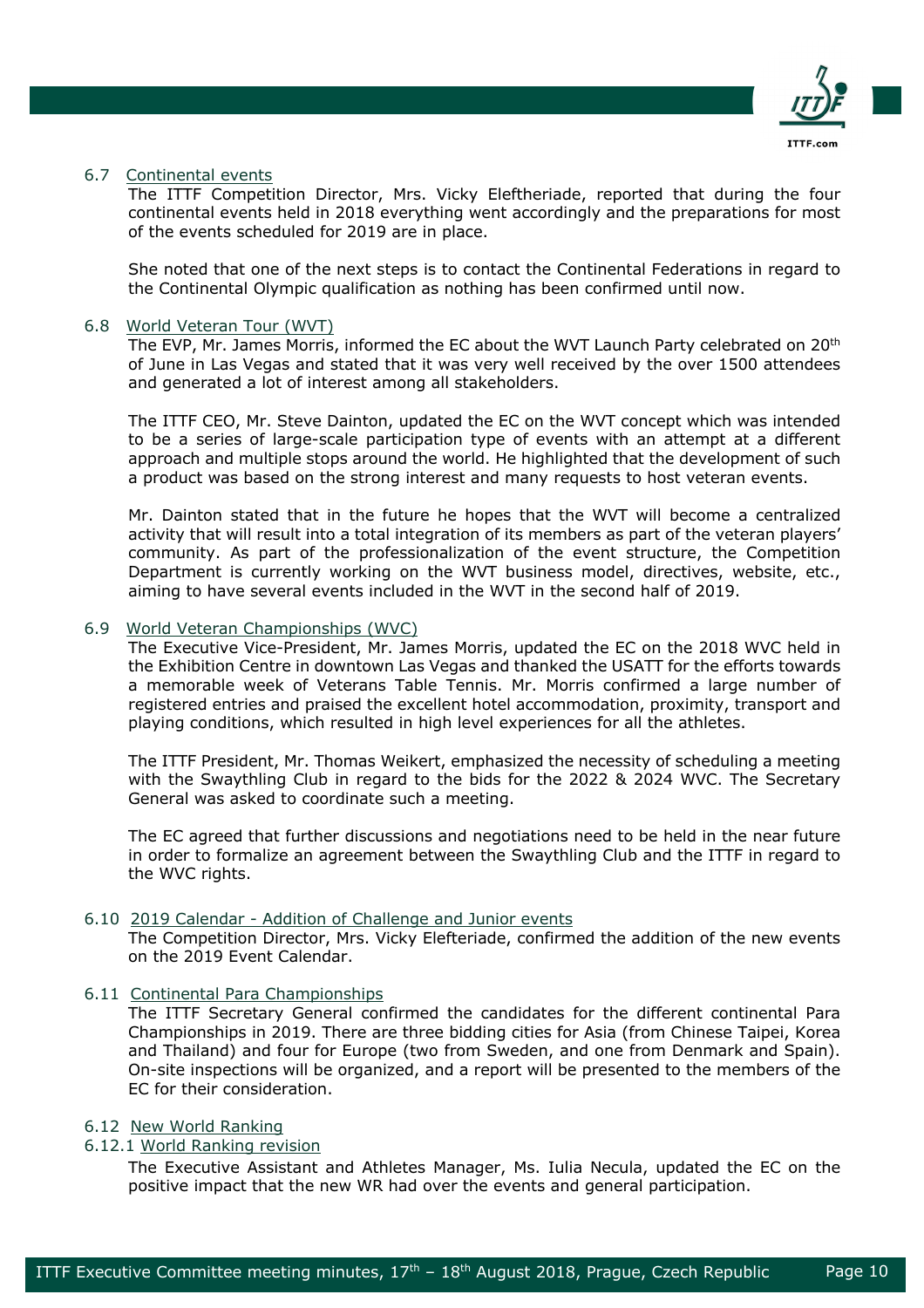

### 6.7 Continental events

The ITTF Competition Director, Mrs. Vicky Eleftheriade, reported that during the four continental events held in 2018 everything went accordingly and the preparations for most of the events scheduled for 2019 are in place.

She noted that one of the next steps is to contact the Continental Federations in regard to the Continental Olympic qualification as nothing has been confirmed until now.

# 6.8 World Veteran Tour (WVT)

The EVP, Mr. James Morris, informed the EC about the WVT Launch Party celebrated on 20<sup>th</sup> of June in Las Vegas and stated that it was very well received by the over 1500 attendees and generated a lot of interest among all stakeholders.

The ITTF CEO, Mr. Steve Dainton, updated the EC on the WVT concept which was intended to be a series of large-scale participation type of events with an attempt at a different approach and multiple stops around the world. He highlighted that the development of such a product was based on the strong interest and many requests to host veteran events.

Mr. Dainton stated that in the future he hopes that the WVT will become a centralized activity that will result into a total integration of its members as part of the veteran players' community. As part of the professionalization of the event structure, the Competition Department is currently working on the WVT business model, directives, website, etc., aiming to have several events included in the WVT in the second half of 2019.

# 6.9 World Veteran Championships (WVC)

The Executive Vice-President, Mr. James Morris, updated the EC on the 2018 WVC held in the Exhibition Centre in downtown Las Vegas and thanked the USATT for the efforts towards a memorable week of Veterans Table Tennis. Mr. Morris confirmed a large number of registered entries and praised the excellent hotel accommodation, proximity, transport and playing conditions, which resulted in high level experiences for all the athletes.

The ITTF President, Mr. Thomas Weikert, emphasized the necessity of scheduling a meeting with the Swaythling Club in regard to the bids for the 2022 & 2024 WVC. The Secretary General was asked to coordinate such a meeting.

The EC agreed that further discussions and negotiations need to be held in the near future in order to formalize an agreement between the Swaythling Club and the ITTF in regard to the WVC rights.

### 6.10 2019 Calendar - Addition of Challenge and Junior events

The Competition Director, Mrs. Vicky Elefteriade, confirmed the addition of the new events on the 2019 Event Calendar.

# 6.11 Continental Para Championships

The ITTF Secretary General confirmed the candidates for the different continental Para Championships in 2019. There are three bidding cities for Asia (from Chinese Taipei, Korea and Thailand) and four for Europe (two from Sweden, and one from Denmark and Spain). On-site inspections will be organized, and a report will be presented to the members of the EC for their consideration.

### 6.12 New World Ranking

# 6.12.1 World Ranking revision

The Executive Assistant and Athletes Manager, Ms. Iulia Necula, updated the EC on the positive impact that the new WR had over the events and general participation.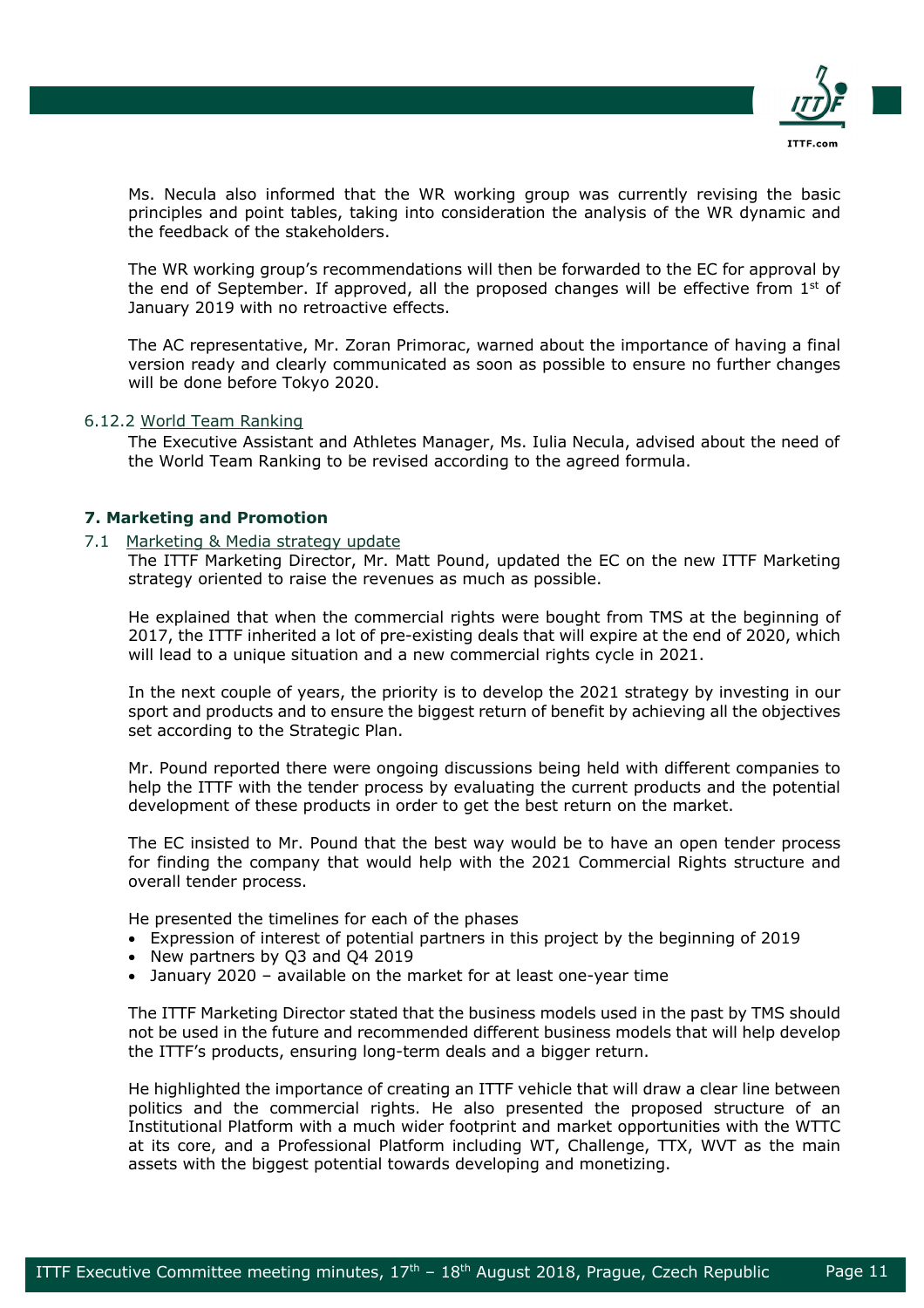

Ms. Necula also informed that the WR working group was currently revising the basic principles and point tables, taking into consideration the analysis of the WR dynamic and the feedback of the stakeholders.

The WR working group's recommendations will then be forwarded to the EC for approval by the end of September. If approved, all the proposed changes will be effective from  $1<sup>st</sup>$  of January 2019 with no retroactive effects.

The AC representative, Mr. Zoran Primorac, warned about the importance of having a final version ready and clearly communicated as soon as possible to ensure no further changes will be done before Tokyo 2020.

# 6.12.2 World Team Ranking

The Executive Assistant and Athletes Manager, Ms. Iulia Necula, advised about the need of the World Team Ranking to be revised according to the agreed formula.

# **7. Marketing and Promotion**

### 7.1 Marketing & Media strategy update

The ITTF Marketing Director, Mr. Matt Pound, updated the EC on the new ITTF Marketing strategy oriented to raise the revenues as much as possible.

He explained that when the commercial rights were bought from TMS at the beginning of 2017, the ITTF inherited a lot of pre-existing deals that will expire at the end of 2020, which will lead to a unique situation and a new commercial rights cycle in 2021.

In the next couple of years, the priority is to develop the 2021 strategy by investing in our sport and products and to ensure the biggest return of benefit by achieving all the objectives set according to the Strategic Plan.

Mr. Pound reported there were ongoing discussions being held with different companies to help the ITTF with the tender process by evaluating the current products and the potential development of these products in order to get the best return on the market.

The EC insisted to Mr. Pound that the best way would be to have an open tender process for finding the company that would help with the 2021 Commercial Rights structure and overall tender process.

He presented the timelines for each of the phases

- Expression of interest of potential partners in this project by the beginning of 2019
- New partners by Q3 and Q4 2019
- January 2020 available on the market for at least one-year time

The ITTF Marketing Director stated that the business models used in the past by TMS should not be used in the future and recommended different business models that will help develop the ITTF's products, ensuring long-term deals and a bigger return.

He highlighted the importance of creating an ITTF vehicle that will draw a clear line between politics and the commercial rights. He also presented the proposed structure of an Institutional Platform with a much wider footprint and market opportunities with the WTTC at its core, and a Professional Platform including WT, Challenge, TTX, WVT as the main assets with the biggest potential towards developing and monetizing.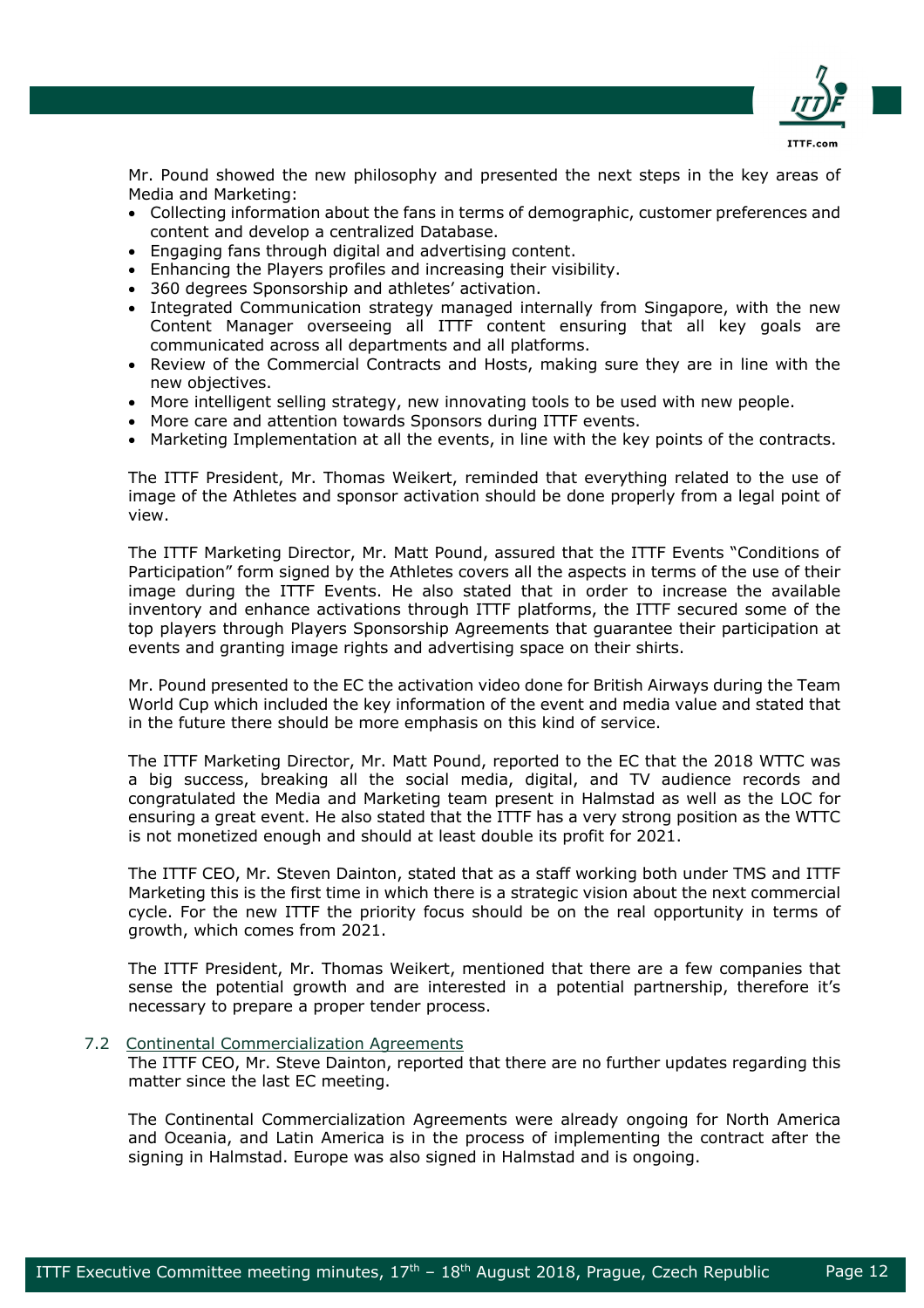

Mr. Pound showed the new philosophy and presented the next steps in the key areas of Media and Marketing:

- Collecting information about the fans in terms of demographic, customer preferences and content and develop a centralized Database.
- Engaging fans through digital and advertising content.
- Enhancing the Players profiles and increasing their visibility.
- 360 degrees Sponsorship and athletes' activation.
- Integrated Communication strategy managed internally from Singapore, with the new Content Manager overseeing all ITTF content ensuring that all key goals are communicated across all departments and all platforms.
- Review of the Commercial Contracts and Hosts, making sure they are in line with the new objectives.
- More intelligent selling strategy, new innovating tools to be used with new people.
- More care and attention towards Sponsors during ITTF events.
- Marketing Implementation at all the events, in line with the key points of the contracts.

The ITTF President, Mr. Thomas Weikert, reminded that everything related to the use of image of the Athletes and sponsor activation should be done properly from a legal point of view.

The ITTF Marketing Director, Mr. Matt Pound, assured that the ITTF Events "Conditions of Participation" form signed by the Athletes covers all the aspects in terms of the use of their image during the ITTF Events. He also stated that in order to increase the available inventory and enhance activations through ITTF platforms, the ITTF secured some of the top players through Players Sponsorship Agreements that guarantee their participation at events and granting image rights and advertising space on their shirts.

Mr. Pound presented to the EC the activation video done for British Airways during the Team World Cup which included the key information of the event and media value and stated that in the future there should be more emphasis on this kind of service.

The ITTF Marketing Director, Mr. Matt Pound, reported to the EC that the 2018 WTTC was a big success, breaking all the social media, digital, and TV audience records and congratulated the Media and Marketing team present in Halmstad as well as the LOC for ensuring a great event. He also stated that the ITTF has a very strong position as the WTTC is not monetized enough and should at least double its profit for 2021.

The ITTF CEO, Mr. Steven Dainton, stated that as a staff working both under TMS and ITTF Marketing this is the first time in which there is a strategic vision about the next commercial cycle. For the new ITTF the priority focus should be on the real opportunity in terms of growth, which comes from 2021.

The ITTF President, Mr. Thomas Weikert, mentioned that there are a few companies that sense the potential growth and are interested in a potential partnership, therefore it's necessary to prepare a proper tender process.

7.2 Continental Commercialization Agreements

The ITTF CEO, Mr. Steve Dainton, reported that there are no further updates regarding this matter since the last EC meeting.

The Continental Commercialization Agreements were already ongoing for North America and Oceania, and Latin America is in the process of implementing the contract after the signing in Halmstad. Europe was also signed in Halmstad and is ongoing.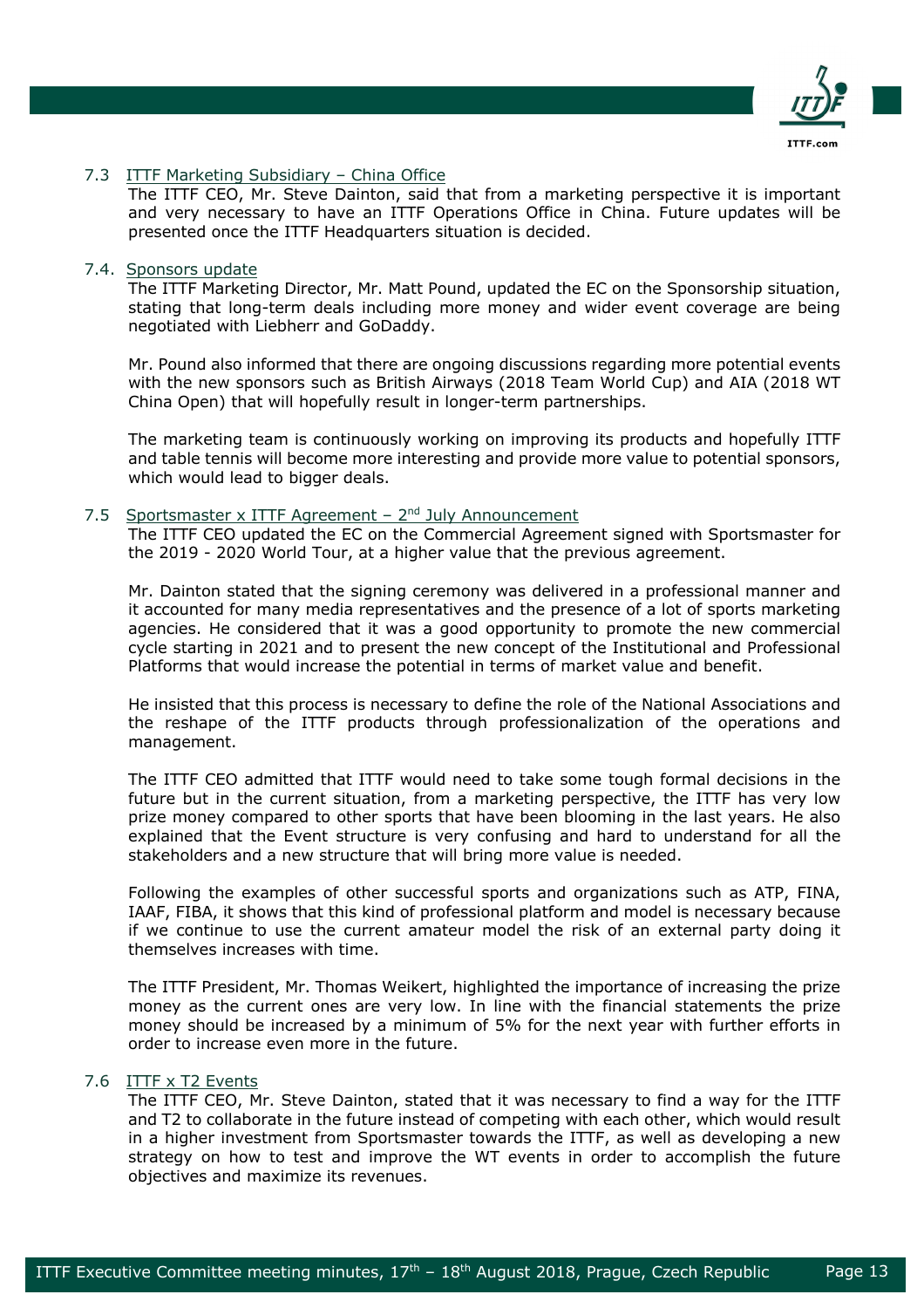

### 7.3 **ITTF Marketing Subsidiary - China Office**

The ITTF CEO, Mr. Steve Dainton, said that from a marketing perspective it is important and very necessary to have an ITTF Operations Office in China. Future updates will be presented once the ITTF Headquarters situation is decided.

### 7.4. Sponsors update

The ITTF Marketing Director, Mr. Matt Pound, updated the EC on the Sponsorship situation, stating that long-term deals including more money and wider event coverage are being negotiated with Liebherr and GoDaddy.

Mr. Pound also informed that there are ongoing discussions regarding more potential events with the new sponsors such as British Airways (2018 Team World Cup) and AIA (2018 WT China Open) that will hopefully result in longer-term partnerships.

The marketing team is continuously working on improving its products and hopefully ITTF and table tennis will become more interesting and provide more value to potential sponsors, which would lead to bigger deals.

### 7.5 Sportsmaster x ITTF Agreement  $-2^{nd}$  July Announcement

The ITTF CEO updated the EC on the Commercial Agreement signed with Sportsmaster for the 2019 - 2020 World Tour, at a higher value that the previous agreement.

Mr. Dainton stated that the signing ceremony was delivered in a professional manner and it accounted for many media representatives and the presence of a lot of sports marketing agencies. He considered that it was a good opportunity to promote the new commercial cycle starting in 2021 and to present the new concept of the Institutional and Professional Platforms that would increase the potential in terms of market value and benefit.

He insisted that this process is necessary to define the role of the National Associations and the reshape of the ITTF products through professionalization of the operations and management.

The ITTF CEO admitted that ITTF would need to take some tough formal decisions in the future but in the current situation, from a marketing perspective, the ITTF has very low prize money compared to other sports that have been blooming in the last years. He also explained that the Event structure is very confusing and hard to understand for all the stakeholders and a new structure that will bring more value is needed.

Following the examples of other successful sports and organizations such as ATP, FINA, IAAF, FIBA, it shows that this kind of professional platform and model is necessary because if we continue to use the current amateur model the risk of an external party doing it themselves increases with time.

The ITTF President, Mr. Thomas Weikert, highlighted the importance of increasing the prize money as the current ones are very low. In line with the financial statements the prize money should be increased by a minimum of 5% for the next year with further efforts in order to increase even more in the future.

# 7.6 ITTF x T2 Events

The ITTF CEO, Mr. Steve Dainton, stated that it was necessary to find a way for the ITTF and T2 to collaborate in the future instead of competing with each other, which would result in a higher investment from Sportsmaster towards the ITTF, as well as developing a new strategy on how to test and improve the WT events in order to accomplish the future objectives and maximize its revenues.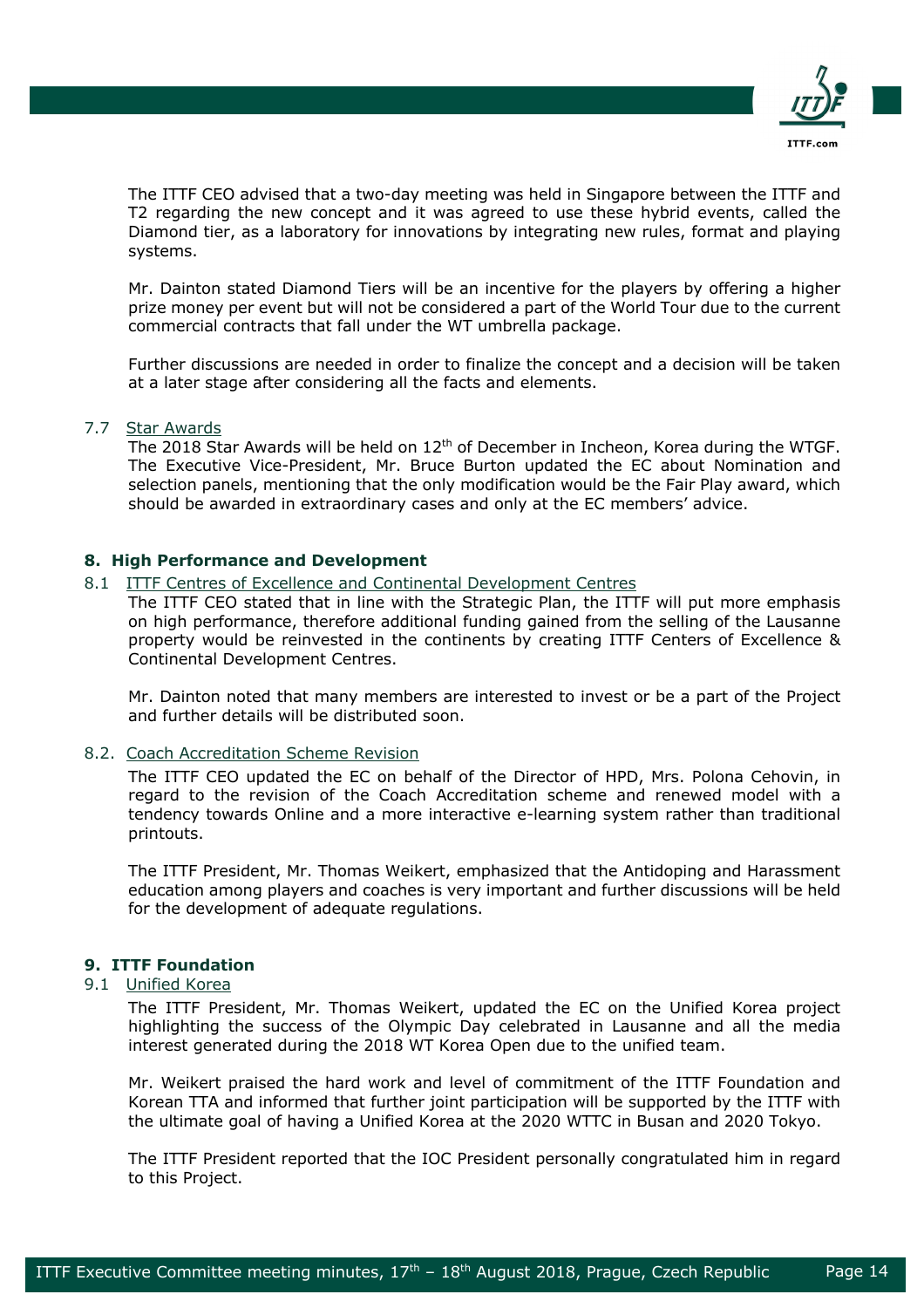

The ITTF CEO advised that a two-day meeting was held in Singapore between the ITTF and T2 regarding the new concept and it was agreed to use these hybrid events, called the Diamond tier, as a laboratory for innovations by integrating new rules, format and playing systems.

Mr. Dainton stated Diamond Tiers will be an incentive for the players by offering a higher prize money per event but will not be considered a part of the World Tour due to the current commercial contracts that fall under the WT umbrella package.

Further discussions are needed in order to finalize the concept and a decision will be taken at a later stage after considering all the facts and elements.

# 7.7 Star Awards

The 2018 Star Awards will be held on 12<sup>th</sup> of December in Incheon, Korea during the WTGF. The Executive Vice-President, Mr. Bruce Burton updated the EC about Nomination and selection panels, mentioning that the only modification would be the Fair Play award, which should be awarded in extraordinary cases and only at the EC members' advice.

# **8. High Performance and Development**

### 8.1 ITTF Centres of Excellence and Continental Development Centres

The ITTF CEO stated that in line with the Strategic Plan, the ITTF will put more emphasis on high performance, therefore additional funding gained from the selling of the Lausanne property would be reinvested in the continents by creating ITTF Centers of Excellence & Continental Development Centres.

Mr. Dainton noted that many members are interested to invest or be a part of the Project and further details will be distributed soon.

### 8.2. Coach Accreditation Scheme Revision

The ITTF CEO updated the EC on behalf of the Director of HPD, Mrs. Polona Cehovin, in regard to the revision of the Coach Accreditation scheme and renewed model with a tendency towards Online and a more interactive e-learning system rather than traditional printouts.

The ITTF President, Mr. Thomas Weikert, emphasized that the Antidoping and Harassment education among players and coaches is very important and further discussions will be held for the development of adequate regulations.

# **9. ITTF Foundation**

# 9.1 Unified Korea

The ITTF President, Mr. Thomas Weikert, updated the EC on the Unified Korea project highlighting the success of the Olympic Day celebrated in Lausanne and all the media interest generated during the 2018 WT Korea Open due to the unified team.

Mr. Weikert praised the hard work and level of commitment of the ITTF Foundation and Korean TTA and informed that further joint participation will be supported by the ITTF with the ultimate goal of having a Unified Korea at the 2020 WTTC in Busan and 2020 Tokyo.

The ITTF President reported that the IOC President personally congratulated him in regard to this Project.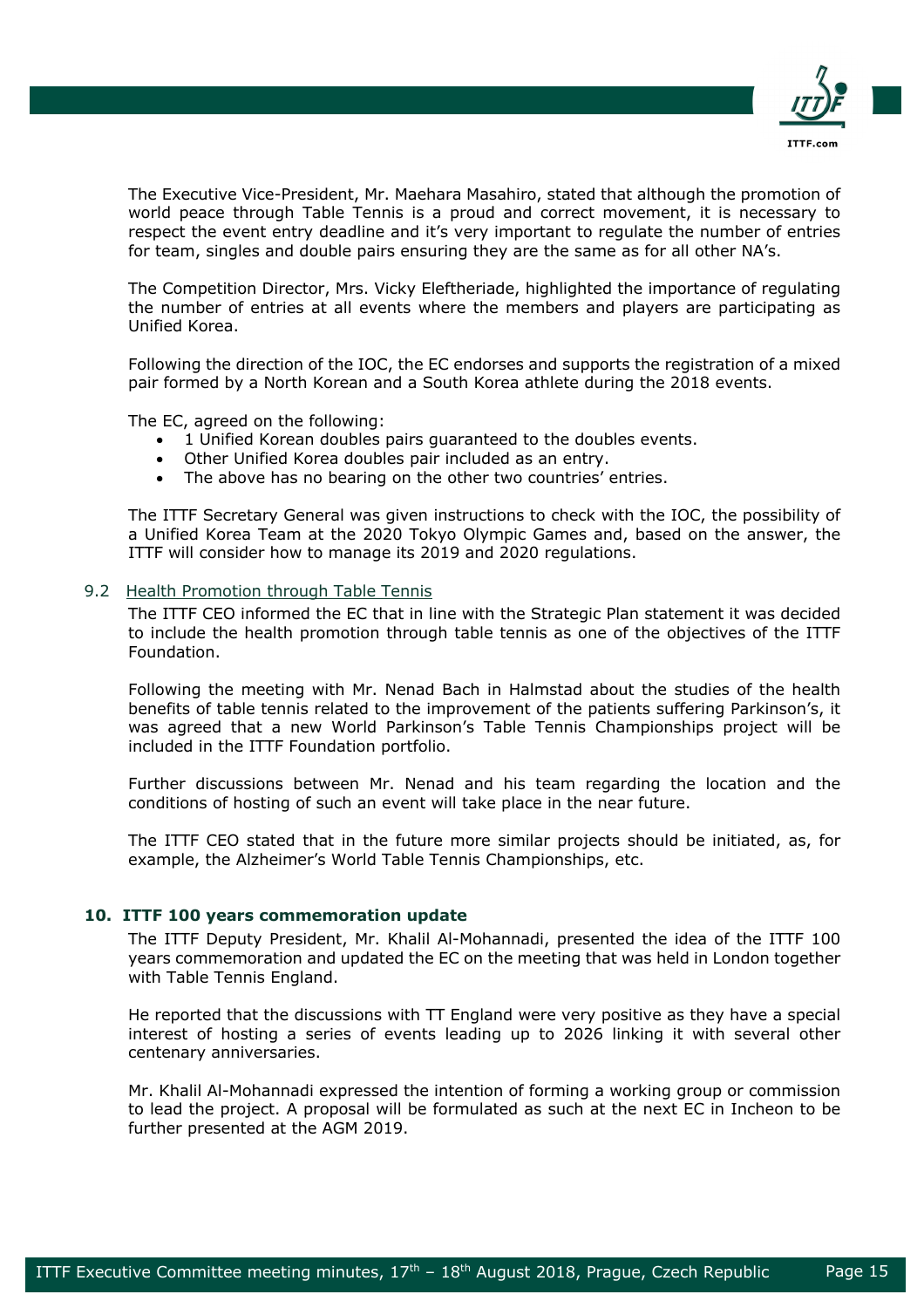

The Executive Vice-President, Mr. Maehara Masahiro, stated that although the promotion of world peace through Table Tennis is a proud and correct movement, it is necessary to respect the event entry deadline and it's very important to regulate the number of entries for team, singles and double pairs ensuring they are the same as for all other NA's.

The Competition Director, Mrs. Vicky Eleftheriade, highlighted the importance of regulating the number of entries at all events where the members and players are participating as Unified Korea.

Following the direction of the IOC, the EC endorses and supports the registration of a mixed pair formed by a North Korean and a South Korea athlete during the 2018 events.

The EC, agreed on the following:

- 1 Unified Korean doubles pairs guaranteed to the doubles events.
- Other Unified Korea doubles pair included as an entry.
- The above has no bearing on the other two countries' entries.

The ITTF Secretary General was given instructions to check with the IOC, the possibility of a Unified Korea Team at the 2020 Tokyo Olympic Games and, based on the answer, the ITTF will consider how to manage its 2019 and 2020 regulations.

# 9.2 Health Promotion through Table Tennis

The ITTF CEO informed the EC that in line with the Strategic Plan statement it was decided to include the health promotion through table tennis as one of the objectives of the ITTF Foundation.

Following the meeting with Mr. Nenad Bach in Halmstad about the studies of the health benefits of table tennis related to the improvement of the patients suffering Parkinson's, it was agreed that a new World Parkinson's Table Tennis Championships project will be included in the ITTF Foundation portfolio.

Further discussions between Mr. Nenad and his team regarding the location and the conditions of hosting of such an event will take place in the near future.

The ITTF CEO stated that in the future more similar projects should be initiated, as, for example, the Alzheimer's World Table Tennis Championships, etc.

### **10. ITTF 100 years commemoration update**

The ITTF Deputy President, Mr. Khalil Al-Mohannadi, presented the idea of the ITTF 100 years commemoration and updated the EC on the meeting that was held in London together with Table Tennis England.

He reported that the discussions with TT England were very positive as they have a special interest of hosting a series of events leading up to 2026 linking it with several other centenary anniversaries.

Mr. Khalil Al-Mohannadi expressed the intention of forming a working group or commission to lead the project. A proposal will be formulated as such at the next EC in Incheon to be further presented at the AGM 2019.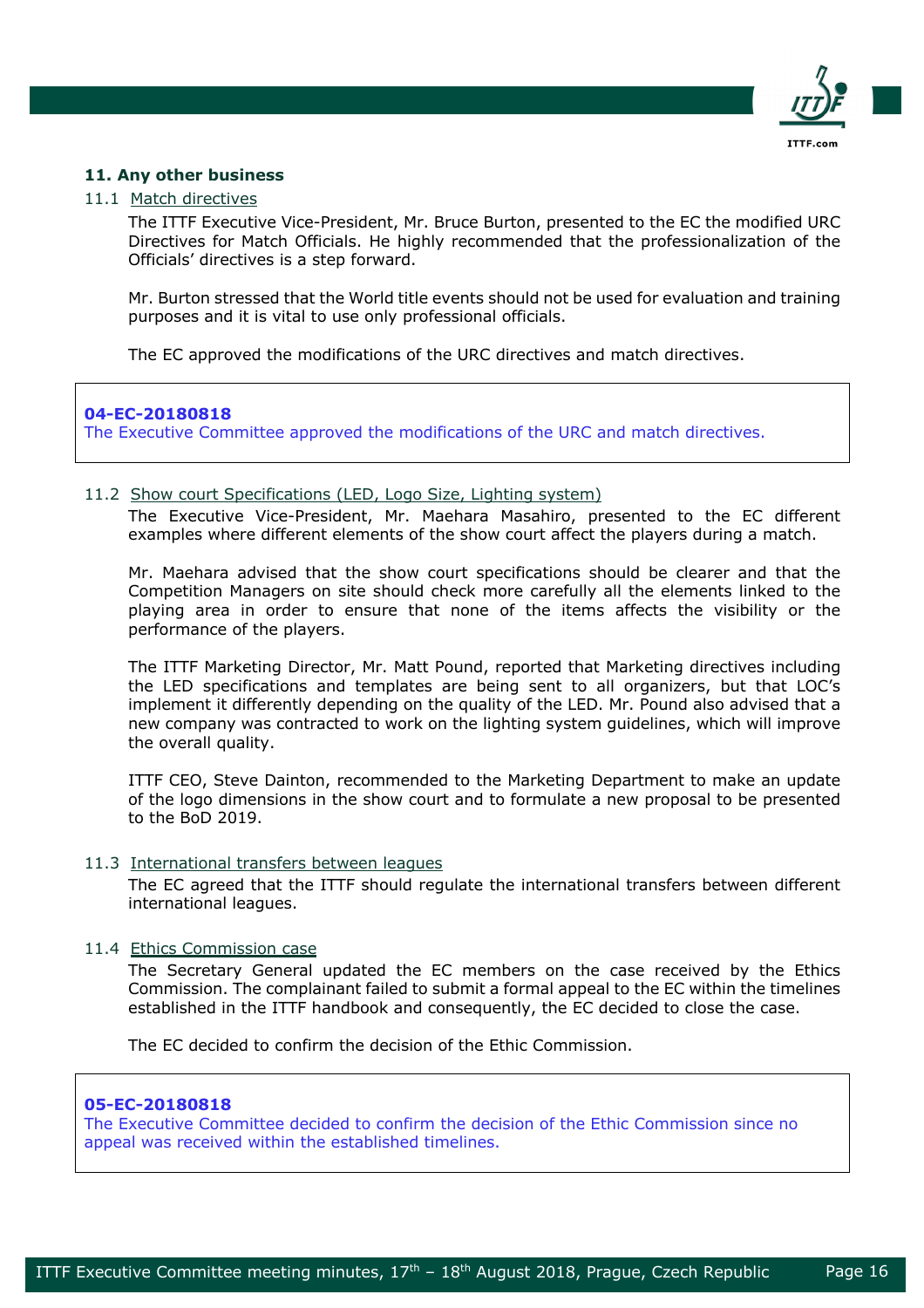

# **11. Any other business**

### 11.1 Match directives

The ITTF Executive Vice-President, Mr. Bruce Burton, presented to the EC the modified URC Directives for Match Officials. He highly recommended that the professionalization of the Officials' directives is a step forward.

Mr. Burton stressed that the World title events should not be used for evaluation and training purposes and it is vital to use only professional officials.

The EC approved the modifications of the URC directives and match directives.

# **04-EC-20180818**

The Executive Committee approved the modifications of the URC and match directives.

# 11.2 Show court Specifications (LED, Logo Size, Lighting system)

The Executive Vice-President, Mr. Maehara Masahiro, presented to the EC different examples where different elements of the show court affect the players during a match.

Mr. Maehara advised that the show court specifications should be clearer and that the Competition Managers on site should check more carefully all the elements linked to the playing area in order to ensure that none of the items affects the visibility or the performance of the players.

The ITTF Marketing Director, Mr. Matt Pound, reported that Marketing directives including the LED specifications and templates are being sent to all organizers, but that LOC's implement it differently depending on the quality of the LED. Mr. Pound also advised that a new company was contracted to work on the lighting system guidelines, which will improve the overall quality.

ITTF CEO, Steve Dainton, recommended to the Marketing Department to make an update of the logo dimensions in the show court and to formulate a new proposal to be presented to the BoD 2019.

### 11.3 International transfers between leagues

The EC agreed that the ITTF should regulate the international transfers between different international leagues.

# 11.4 Ethics Commission case

The Secretary General updated the EC members on the case received by the Ethics Commission. The complainant failed to submit a formal appeal to the EC within the timelines established in the ITTF handbook and consequently, the EC decided to close the case.

The EC decided to confirm the decision of the Ethic Commission.

### **05-EC-20180818**

The Executive Committee decided to confirm the decision of the Ethic Commission since no appeal was received within the established timelines.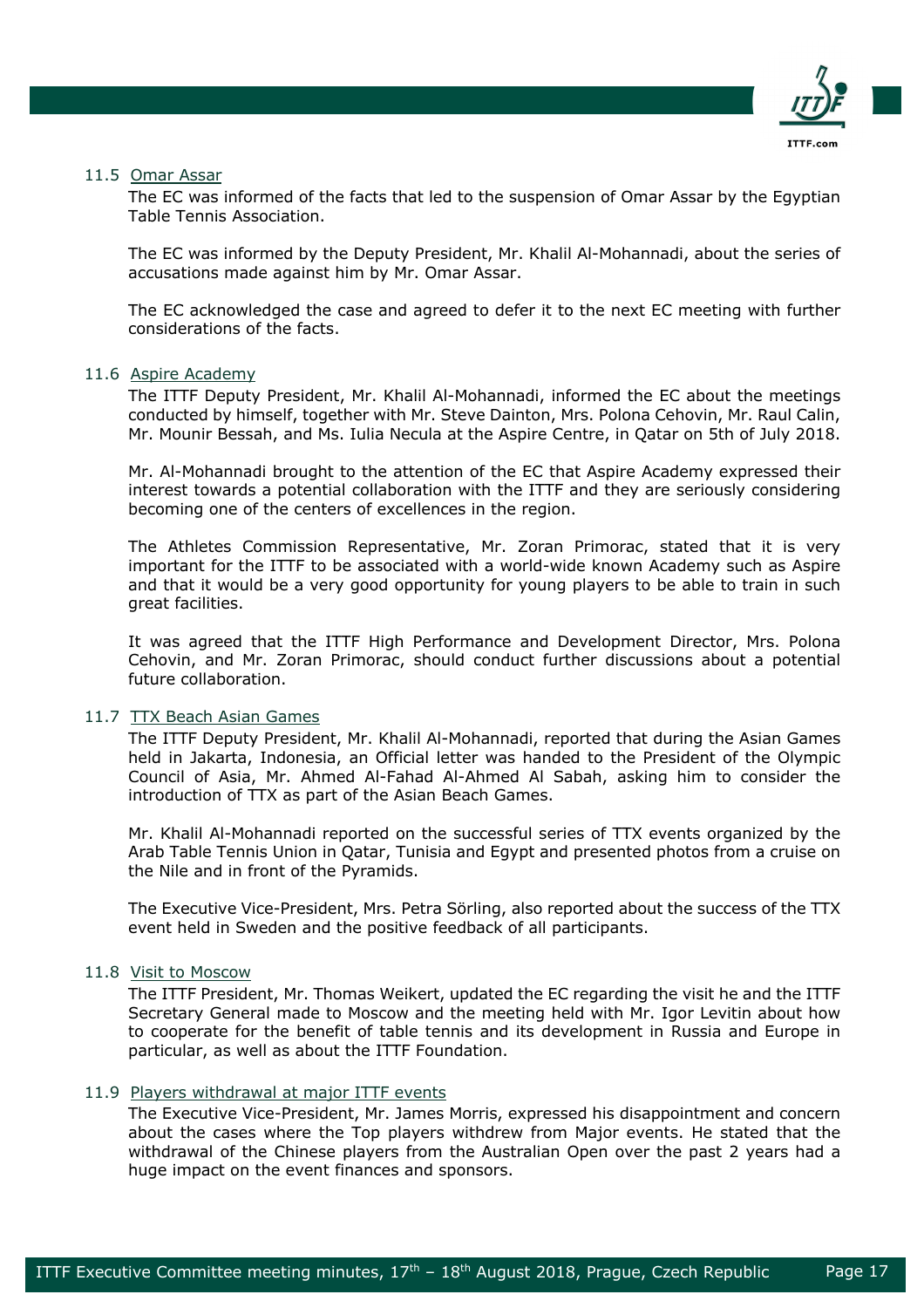

### 11.5 Omar Assar

The EC was informed of the facts that led to the suspension of Omar Assar by the Egyptian Table Tennis Association.

The EC was informed by the Deputy President, Mr. Khalil Al-Mohannadi, about the series of accusations made against him by Mr. Omar Assar.

The EC acknowledged the case and agreed to defer it to the next EC meeting with further considerations of the facts.

### 11.6 Aspire Academy

The ITTF Deputy President, Mr. Khalil Al-Mohannadi, informed the EC about the meetings conducted by himself, together with Mr. Steve Dainton, Mrs. Polona Cehovin, Mr. Raul Calin, Mr. Mounir Bessah, and Ms. Iulia Necula at the Aspire Centre, in Qatar on 5th of July 2018.

Mr. Al-Mohannadi brought to the attention of the EC that Aspire Academy expressed their interest towards a potential collaboration with the ITTF and they are seriously considering becoming one of the centers of excellences in the region.

The Athletes Commission Representative, Mr. Zoran Primorac, stated that it is very important for the ITTF to be associated with a world-wide known Academy such as Aspire and that it would be a very good opportunity for young players to be able to train in such great facilities.

It was agreed that the ITTF High Performance and Development Director, Mrs. Polona Cehovin, and Mr. Zoran Primorac, should conduct further discussions about a potential future collaboration.

# 11.7 TTX Beach Asian Games

The ITTF Deputy President, Mr. Khalil Al-Mohannadi, reported that during the Asian Games held in Jakarta, Indonesia, an Official letter was handed to the President of the Olympic Council of Asia, Mr. Ahmed Al-Fahad Al-Ahmed Al Sabah, asking him to consider the introduction of TTX as part of the Asian Beach Games.

Mr. Khalil Al-Mohannadi reported on the successful series of TTX events organized by the Arab Table Tennis Union in Qatar, Tunisia and Egypt and presented photos from a cruise on the Nile and in front of the Pyramids.

The Executive Vice-President, Mrs. Petra Sörling, also reported about the success of the TTX event held in Sweden and the positive feedback of all participants.

### 11.8 Visit to Moscow

The ITTF President, Mr. Thomas Weikert, updated the EC regarding the visit he and the ITTF Secretary General made to Moscow and the meeting held with Mr. Igor Levitin about how to cooperate for the benefit of table tennis and its development in Russia and Europe in particular, as well as about the ITTF Foundation.

### 11.9 Players withdrawal at major ITTF events

The Executive Vice-President, Mr. James Morris, expressed his disappointment and concern about the cases where the Top players withdrew from Major events. He stated that the withdrawal of the Chinese players from the Australian Open over the past 2 years had a huge impact on the event finances and sponsors.